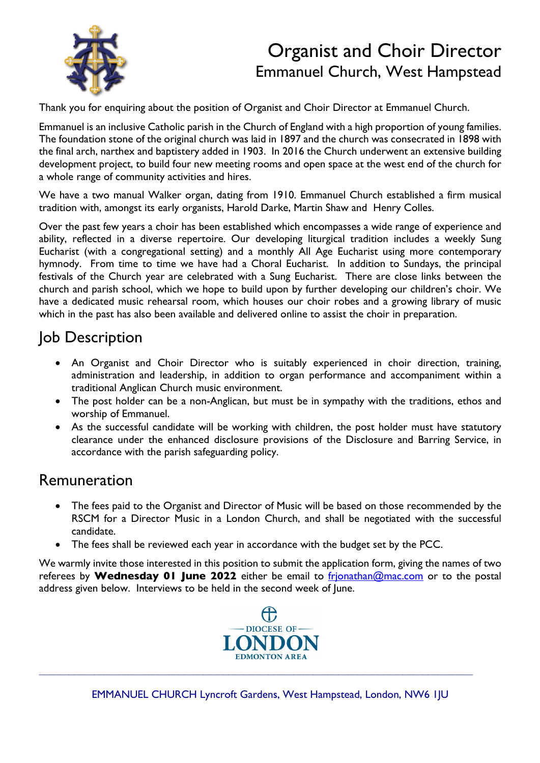

# Organist and Choir Director Emmanuel Church, West Hampstead

Thank you for enquiring about the position of Organist and Choir Director at Emmanuel Church.

Emmanuel is an inclusive Catholic parish in the Church of England with a high proportion of young families. The foundation stone of the original church was laid in 1897 and the church was consecrated in 1898 with the final arch, narthex and baptistery added in 1903. In 2016 the Church underwent an extensive building development project, to build four new meeting rooms and open space at the west end of the church for a whole range of community activities and hires.

We have a two manual Walker organ, dating from 1910. Emmanuel Church established a firm musical tradition with, amongst its early organists, Harold Darke, Martin Shaw and Henry Colles.

Over the past few years a choir has been established which encompasses a wide range of experience and ability, reflected in a diverse repertoire. Our developing liturgical tradition includes a weekly Sung Eucharist (with a congregational setting) and a monthly All Age Eucharist using more contemporary hymnody. From time to time we have had a Choral Eucharist. In addition to Sundays, the principal festivals of the Church year are celebrated with a Sung Eucharist. There are close links between the church and parish school, which we hope to build upon by further developing our children's choir. We have a dedicated music rehearsal room, which houses our choir robes and a growing library of music which in the past has also been available and delivered online to assist the choir in preparation.

# Job Description

- An Organist and Choir Director who is suitably experienced in choir direction, training, administration and leadership, in addition to organ performance and accompaniment within a traditional Anglican Church music environment.
- The post holder can be a non-Anglican, but must be in sympathy with the traditions, ethos and worship of Emmanuel.
- As the successful candidate will be working with children, the post holder must have statutory clearance under the enhanced disclosure provisions of the Disclosure and Barring Service, in accordance with the parish safeguarding policy.

# Remuneration

- The fees paid to the Organist and Director of Music will be based on those recommended by the RSCM for a Director Music in a London Church, and shall be negotiated with the successful candidate.
- The fees shall be reviewed each year in accordance with the budget set by the PCC.

We warmly invite those interested in this position to submit the application form, giving the names of two referees by **Wednesday 01 June 2022** either be email to frjonathan@mac.com or to the postal address given below. Interviews to be held in the second week of June.

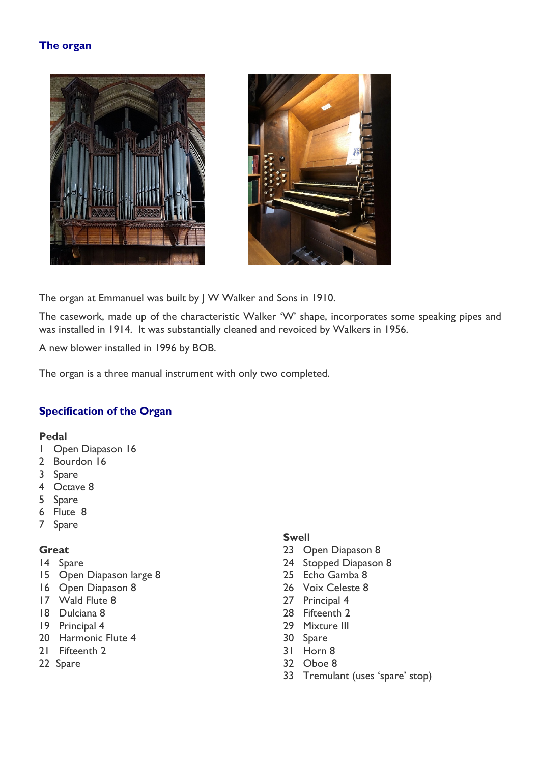# **The organ**





The organ at Emmanuel was built by J W Walker and Sons in 1910.

The casework, made up of the characteristic Walker 'W' shape, incorporates some speaking pipes and was installed in 1914. It was substantially cleaned and revoiced by Walkers in 1956.

A new blower installed in 1996 by BOB.

The organ is a three manual instrument with only two completed.

# **Specification of the Organ**

#### **Pedal**

- 1 Open Diapason 16
- 2 Bourdon 16
- 3 Spare
- 4 Octave 8
- 5 Spare
- 6 Flute 8
- 7 Spare

#### **Great**

- 14 Spare
- 15 Open Diapason large 8
- 16 Open Diapason 8
- 17 Wald Flute 8
- 18 Dulciana 8
- 19 Principal 4
- 20 Harmonic Flute 4
- 21 Fifteenth 2
- 22 Spare

# **Swell**

- 23 Open Diapason 8
- 24 Stopped Diapason 8
- 25 Echo Gamba 8
- 26 Voix Celeste 8
- 27 Principal 4
- 28 Fifteenth 2
- 29 Mixture III
- 30 Spare
- 31 Horn 8
- 32 Oboe 8
- 33 Tremulant (uses 'spare' stop)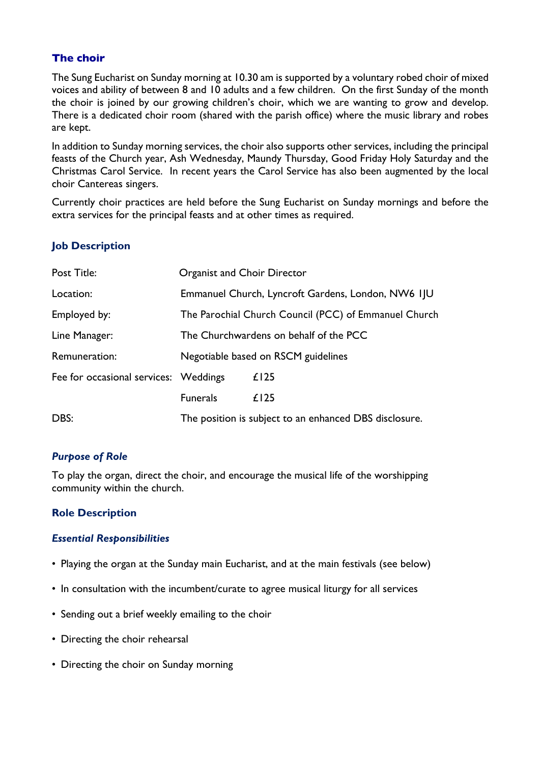# **The choir**

The Sung Eucharist on Sunday morning at 10.30 am is supported by a voluntary robed choir of mixed voices and ability of between 8 and 10 adults and a few children. On the first Sunday of the month the choir is joined by our growing children's choir, which we are wanting to grow and develop. There is a dedicated choir room (shared with the parish office) where the music library and robes are kept.

In addition to Sunday morning services, the choir also supports other services, including the principal feasts of the Church year, Ash Wednesday, Maundy Thursday, Good Friday Holy Saturday and the Christmas Carol Service. In recent years the Carol Service has also been augmented by the local choir Cantereas singers.

Currently choir practices are held before the Sung Eucharist on Sunday mornings and before the extra services for the principal feasts and at other times as required.

# **Job Description**

| Post Title:                           | Organist and Choir Director                            |      |
|---------------------------------------|--------------------------------------------------------|------|
| Location:                             | Emmanuel Church, Lyncroft Gardens, London, NW6 IJU     |      |
| Employed by:                          | The Parochial Church Council (PCC) of Emmanuel Church  |      |
| Line Manager:                         | The Churchwardens on behalf of the PCC                 |      |
| Remuneration:                         | Negotiable based on RSCM guidelines                    |      |
| Fee for occasional services: Weddings |                                                        | £125 |
|                                       | <b>Funerals</b>                                        | £125 |
| DBS:                                  | The position is subject to an enhanced DBS disclosure. |      |

# *Purpose of Role*

To play the organ, direct the choir, and encourage the musical life of the worshipping community within the church.

#### **Role Description**

#### *Essential Responsibilities*

- Playing the organ at the Sunday main Eucharist, and at the main festivals (see below)
- In consultation with the incumbent/curate to agree musical liturgy for all services
- Sending out a brief weekly emailing to the choir
- Directing the choir rehearsal
- Directing the choir on Sunday morning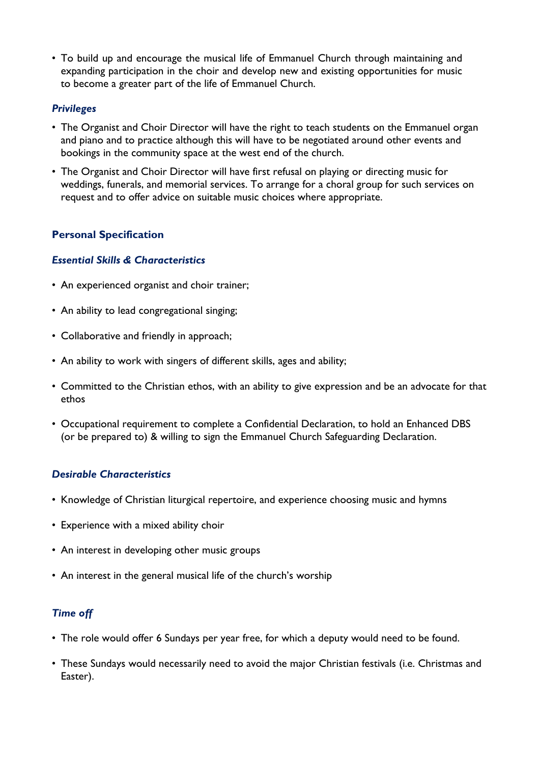• To build up and encourage the musical life of Emmanuel Church through maintaining and expanding participation in the choir and develop new and existing opportunities for music to become a greater part of the life of Emmanuel Church.

#### *Privileges*

- The Organist and Choir Director will have the right to teach students on the Emmanuel organ and piano and to practice although this will have to be negotiated around other events and bookings in the community space at the west end of the church.
- The Organist and Choir Director will have first refusal on playing or directing music for weddings, funerals, and memorial services. To arrange for a choral group for such services on request and to offer advice on suitable music choices where appropriate.

# **Personal Specification**

#### *Essential Skills & Characteristics*

- An experienced organist and choir trainer;
- An ability to lead congregational singing;
- Collaborative and friendly in approach;
- An ability to work with singers of different skills, ages and ability;
- Committed to the Christian ethos, with an ability to give expression and be an advocate for that ethos
- Occupational requirement to complete a Confidential Declaration, to hold an Enhanced DBS (or be prepared to) & willing to sign the Emmanuel Church Safeguarding Declaration.

# *Desirable Characteristics*

- Knowledge of Christian liturgical repertoire, and experience choosing music and hymns
- Experience with a mixed ability choir
- An interest in developing other music groups
- An interest in the general musical life of the church's worship

# *Time off*

- The role would offer 6 Sundays per year free, for which a deputy would need to be found.
- These Sundays would necessarily need to avoid the major Christian festivals (i.e. Christmas and Easter).